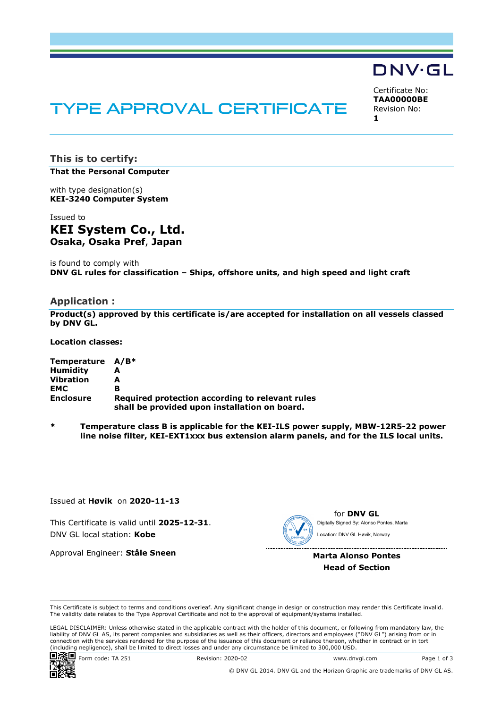# DNV·GL

# TYPE APPROVAL CERTIFICATE

Certificate No: **TAA00000BE** Revision No: **1** 

**This is to certify: That the Personal Computer**

with type designation(s) **KEI-3240 Computer System**

Issued to **KEI System Co., Ltd. Osaka, Osaka Pref**, **Japan** 

is found to comply with **DNV GL rules for classification – Ships, offshore units, and high speed and light craft**

#### **Application :**

**Product(s) approved by this certificate is/are accepted for installation on all vessels classed by DNV GL.** 

**Location classes:** 

| Temperature A/B* |                                                 |
|------------------|-------------------------------------------------|
| <b>Humidity</b>  |                                                 |
| <b>Vibration</b> | А                                               |
| <b>EMC</b>       | в                                               |
| <b>Enclosure</b> | Required protection according to relevant rules |
|                  | shall be provided upon installation on board.   |

**\* Temperature class B is applicable for the KEI-ILS power supply, MBW-12R5-22 power line noise filter, KEI-EXT1xxx bus extension alarm panels, and for the ILS local units.** 

Issued at **Høvik** on **2020-11-13**

This Certificate is valid until **2025-12-31**. DNV GL local station: **Kobe**

Approval Engineer: **Ståle Sneen**

for **DNV GL** Digitally Signed By: Alonso Pontes, Marta Location: DNV GL Høvik, Norway

**Marta Alonso Pontes Head of Section**

 LEGAL DISCLAIMER: Unless otherwise stated in the applicable contract with the holder of this document, or following from mandatory law, the liability of DNV GL AS, its parent companies and subsidiaries as well as their officers, directors and employees ("DNV GL") arising from or in connection with the services rendered for the purpose of the issuance of this document or reliance thereon, whether in contract or in tort<br>(including negligence), shall be limited to direct losses and under any circumstanc



© DNV GL 2014. DNV GL and the Horizon Graphic are trademarks of DNV GL AS.

This Certificate is subject to terms and conditions overleaf. Any significant change in design or construction may render this Certificate invalid. The validity date relates to the Type Approval Certificate and not to the approval of equipment/systems installed.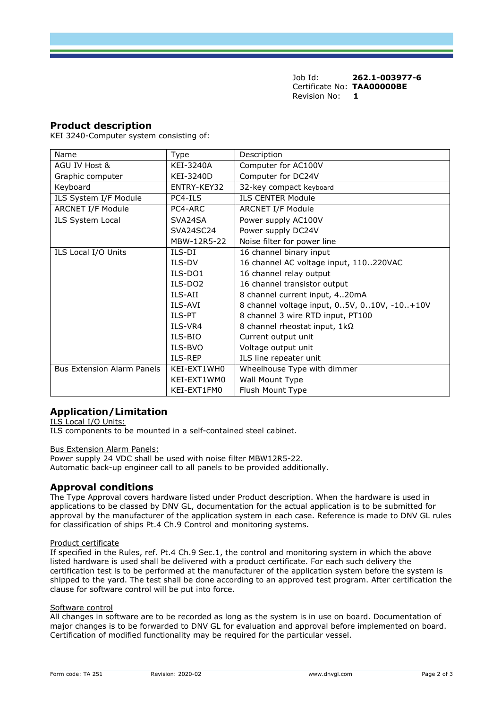Job Id: **262.1-003977-6** Certificate No: **TAA00000BE** Revision No: **1** 

## **Product description**

KEI 3240-Computer system consisting of:

| Name                              | <b>Type</b>         | Description                                 |
|-----------------------------------|---------------------|---------------------------------------------|
| AGU IV Host &                     | KEI-3240A           | Computer for AC100V                         |
| Graphic computer                  | KEI-3240D           | Computer for DC24V                          |
| Keyboard                          | ENTRY-KEY32         | 32-key compact keyboard                     |
| ILS System I/F Module             | PC4-ILS             | <b>ILS CENTER Module</b>                    |
| <b>ARCNET I/F Module</b>          | PC4-ARC             | <b>ARCNET I/F Module</b>                    |
| ILS System Local                  | SVA24SA             | Power supply AC100V                         |
|                                   | SVA24SC24           | Power supply DC24V                          |
|                                   | MBW-12R5-22         | Noise filter for power line                 |
| ILS Local I/O Units               | ILS-DI              | 16 channel binary input                     |
|                                   | ILS-DV              | 16 channel AC voltage input, 110220VAC      |
|                                   | ILS-DO1             | 16 channel relay output                     |
|                                   | ILS-DO <sub>2</sub> | 16 channel transistor output                |
|                                   | ILS-AII             | 8 channel current input, 420mA              |
|                                   | ILS-AVI             | 8 channel voltage input, 05V, 010V, -10+10V |
|                                   | ILS-PT              | 8 channel 3 wire RTD input, PT100           |
|                                   | ILS-VR4             | 8 channel rheostat input, 1kΩ               |
|                                   | ILS-BIO             | Current output unit                         |
|                                   | ILS-BVO             | Voltage output unit                         |
|                                   | ILS-REP             | ILS line repeater unit                      |
| <b>Bus Extension Alarm Panels</b> | KEI-EXT1WH0         | Wheelhouse Type with dimmer                 |
|                                   | KEI-EXT1WM0         | Wall Mount Type                             |
|                                   | KEI-EXT1FM0         | Flush Mount Type                            |

# **Application/Limitation**

ILS Local I/O Units:

ILS components to be mounted in a self-contained steel cabinet.

#### Bus Extension Alarm Panels:

Power supply 24 VDC shall be used with noise filter MBW12R5-22. Automatic back-up engineer call to all panels to be provided additionally.

#### **Approval conditions**

The Type Approval covers hardware listed under Product description. When the hardware is used in applications to be classed by DNV GL, documentation for the actual application is to be submitted for approval by the manufacturer of the application system in each case. Reference is made to DNV GL rules for classification of ships Pt.4 Ch.9 Control and monitoring systems.

#### Product certificate

If specified in the Rules, ref. Pt.4 Ch.9 Sec.1, the control and monitoring system in which the above listed hardware is used shall be delivered with a product certificate. For each such delivery the certification test is to be performed at the manufacturer of the application system before the system is shipped to the yard. The test shall be done according to an approved test program. After certification the clause for software control will be put into force.

#### Software control

All changes in software are to be recorded as long as the system is in use on board. Documentation of major changes is to be forwarded to DNV GL for evaluation and approval before implemented on board. Certification of modified functionality may be required for the particular vessel.